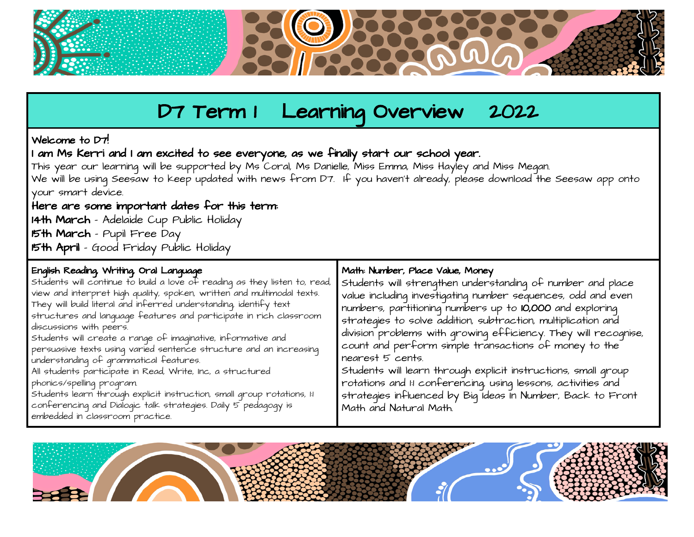

# D7 Term I Learning Overview 2022

## Welcome to D7!

I am Ms Kerri and I am excited to see everyone, as we finally start our school year.

This year our learning will be supported by Ms Coral, Ms Danielle, Miss Emma, Miss Hayley and Miss Megan. We will be using Seesaw to keep updated with news from D7. If you haven't already, please download the Seesaw app onto your smart device.

## Here are some important dates for this term:

14th March - Adelaide Cup Public Holiday 15th March - Pupil Free Day 15th April - Good Friday Public Holiday

## English Reading, Writing, Oral Language

Students will continue to build a love of reading as they listen to, read, view and interpret high quality, spoken, written and multimodal texts. They will build literal and inferred understanding, identify text structures and language features and participate in rich classroom discussions with peers. Students will create a range of imaginative, informative and

persuasive texts using varied sentence structure and an increasing understanding of grammatical features.

All students participate in Read, Write, Inc, a structured phonics/spelling program.

Students learn through explicit instruction, small group rotations, 1:1 conferencing and Dialogic talk strategies. Daily 5 pedagogy is embedded in classroom practice.

#### Math: Number, Place Value, Money

Students will strengthen understanding of number and place value including investigating number sequences, odd and even numbers, partitioning numbers up to 10,000 and exploring strategies to solve addition, subtraction, multiplication and division problems with growing efficiency. They will recognise, count and perform simple transactions of money to the nearest 5 cents.

Students will learn through explicit instructions, small group rotations and 1:1 conferencing, using lessons, activities and strategies influenced by Big Ideas In Number, Back to Front Math and Natural Math.

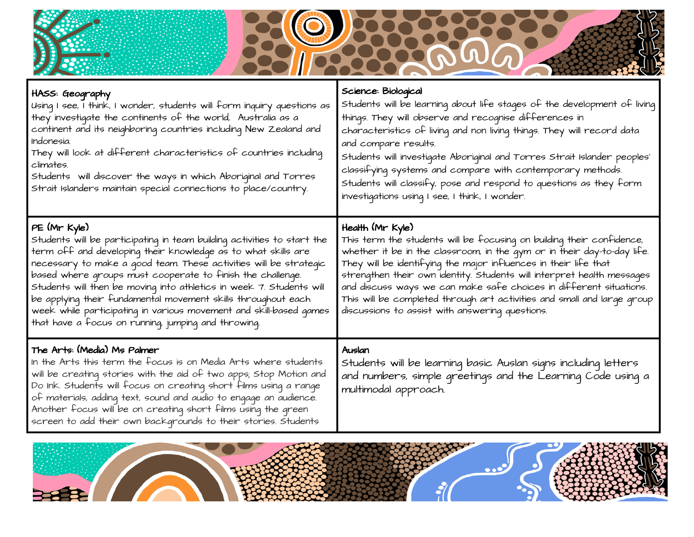

| HASS: Geography<br>Using I see, I think, I wonder, students will form inquiry questions as<br>they investigate the continents of the world, Australia as a<br>continent and its neighboring countries including New Zealand and<br>Indonesia.<br>They will look at different characteristics of countries including<br>climates.<br>Students will discover the ways in which Aboriginal and Torres<br>Strait Islanders maintain special connections to place/country.                                                                                             | Science: Biological<br>Students will be learning about life stages of the development of living<br>things. They will observe and recognise differences in<br>characteristics of living and non living things. They will record data<br>and compare results.<br>Students will investiqate Aboriqinal and Torres Strait Islander peoples'<br>classifying systems and compare with contemporary methods.<br>Students will classify, pose and respond to questions as they form<br>investigations using I see, I think, I wonder. |
|-------------------------------------------------------------------------------------------------------------------------------------------------------------------------------------------------------------------------------------------------------------------------------------------------------------------------------------------------------------------------------------------------------------------------------------------------------------------------------------------------------------------------------------------------------------------|-------------------------------------------------------------------------------------------------------------------------------------------------------------------------------------------------------------------------------------------------------------------------------------------------------------------------------------------------------------------------------------------------------------------------------------------------------------------------------------------------------------------------------|
| PE (Mr Kyle)<br>Students will be participating in team building activities to start the<br>term off and developing their knowledge as to what skills are<br>necessary to make a good team. These activities will be strategic<br>based where groups must cooperate to finish the challenge.<br>Students will then be moving into athletics in week 7. Students will<br>be applying their fundamental movement skills throughout each<br>week while participating in various movement and skill-based games<br>that have a focus on running, jumping and throwing. | Health (Mr Kyle)<br>This term the students will be focusing on building their confidence,<br>whether it be in the classroom, in the gym or in their day-to-day life.<br>They will be identifying the major influences in their life that<br>strengthen their own identity. Students will interpret health messages<br>and discuss ways we can make safe choices in different situations.<br>This will be completed through art activities and small and large group<br>discussions to assist with answering questions.        |
| The Arts: (Media) Ms Palmer<br>In the Arts this term the focus is on Media Arts where students<br>will be creating stories with the aid of two apps; Stop Motion and<br>Do Ink. Students will focus on creating short films using a range<br>of materials, adding text, sound and audio to engage an audience.<br>Another focus will be on creating short films using the green<br>screen to add their own backgrounds to their stories. Students                                                                                                                 | Auslan<br>Students will be learning basic Auslan signs including letters<br>and numbers, simple greetings and the Learning Code using a<br>multimodal approach.                                                                                                                                                                                                                                                                                                                                                               |

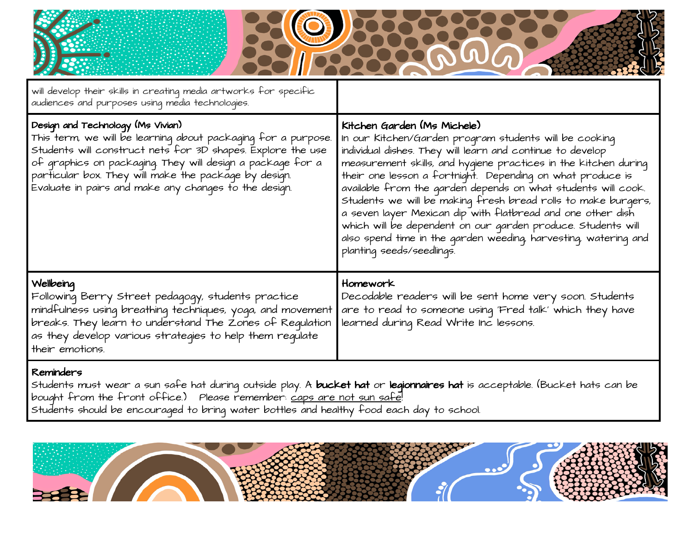| will develop their skills in creating media artworks for specific<br>audiences and purposes using media technologies.                                                                                                                                                                                                                             |                                                                                                                                                                                                                                                                                                                                                                                                                                                                                                                                                                                                                                                       |
|---------------------------------------------------------------------------------------------------------------------------------------------------------------------------------------------------------------------------------------------------------------------------------------------------------------------------------------------------|-------------------------------------------------------------------------------------------------------------------------------------------------------------------------------------------------------------------------------------------------------------------------------------------------------------------------------------------------------------------------------------------------------------------------------------------------------------------------------------------------------------------------------------------------------------------------------------------------------------------------------------------------------|
| Design and Technology (Ms Vivian)<br>This term, we will be learning about packaging for a purpose.<br>Students will construct nets for 3D shapes. Explore the use<br>of graphics on packaging. They will design a package for a<br>particular box. They will make the package by design.<br>Evaluate in pairs and make any changes to the design. | Kitchen Garden (Ms Michele)<br>In our Kitchen/Garden program students will be cooking<br>individual dishes. They will learn and continue to develop<br>measurement skills, and hygiene practices in the kitchen during<br>their one lesson a fortnight. Depending on what produce is<br>available from the garden depends on what students will cook.<br>Students we will be making fresh bread rolls to make burgers,<br>a seven layer Mexican dip with flatbread and one other dish<br>which will be dependent on our garden produce. Students will<br>also spend time in the garden weeding, harvesting, watering and<br>planting seeds/seedlings. |
| Wellbeing<br>Following Berry Street pedagogy, students practice<br>mindfulness using breathing techniques, yoga, and movement<br>breaks. They learn to understand The Zones of Requlation<br>as they develop various strateqies to help them requlate<br>their emotions.                                                                          | Homework<br>Decodable readers will be sent home very soon. Students<br>are to read to someone using 'Fred talk' which they have<br>learned during Read Write Inc lessons.                                                                                                                                                                                                                                                                                                                                                                                                                                                                             |
| Reminders<br>Students must wear a sun safe hat during outside play. A <b>bucket hat</b> or <b>legionnaires hat</b> is acceptable. (Bucket hats can be                                                                                                                                                                                             |                                                                                                                                                                                                                                                                                                                                                                                                                                                                                                                                                                                                                                                       |

bouqht from the front office.) Please remember: <u>caps are not sun safe</u>! Students should be encouraged to bring water bottles and healthy food each day to school.